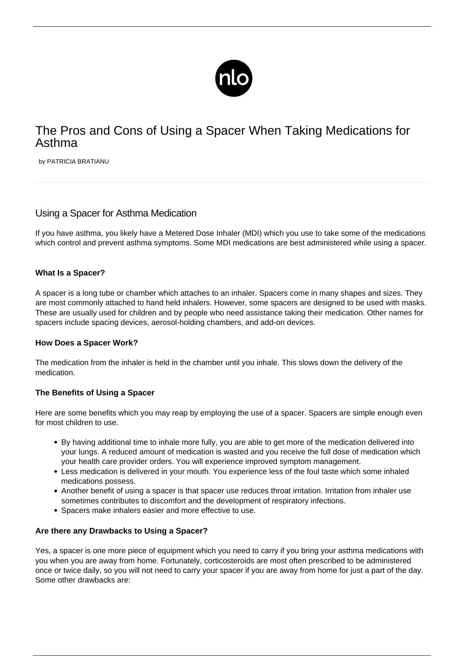

# The Pros and Cons of Using a Spacer When Taking Medications for Asthma

by PATRICIA BRATIANU

# Using a Spacer for Asthma Medication

If you have asthma, you likely have a Metered Dose Inhaler (MDI) which you use to take some of the medications which control and prevent [asthma symptoms](/symptoms-asthma/). Some MDI medications are best administered while using a spacer.

# **What Is a Spacer?**

A spacer is a long tube or chamber which attaches to an inhaler. Spacers come in many shapes and sizes. They are most commonly attached to hand held inhalers. However, some spacers are designed to be used with masks. These are usually used for children and by people who need assistance taking their medication. Other names for spacers include spacing devices, aerosol-holding chambers, and add-on devices.

#### **How Does a Spacer Work?**

The medication from the inhaler is held in the chamber until you inhale. This slows down the delivery of the medication.

#### **The Benefits of Using a Spacer**

Here are some benefits which you may reap by employing the use of a spacer. Spacers are simple enough even for most children to use.

- By having additional time to inhale more fully, you are able to get more of the medication delivered into your lungs. A reduced amount of medication is wasted and you receive the full dose of medication which your health care provider orders. You will experience improved symptom management.
- Less medication is delivered in your mouth. You experience less of the foul taste which some inhaled medications possess.
- Another benefit of using a spacer is that spacer use reduces throat irritation. Irritation from inhaler use sometimes contributes to discomfort and the development of respiratory infections.
- Spacers make inhalers easier and more effective to use.

#### **Are there any Drawbacks to Using a Spacer?**

Yes, a spacer is one more piece of equipment which you need to carry if you bring your asthma medications with you when you are away from home. Fortunately, corticosteroids are most often prescribed to be administered once or twice daily, so you will not need to carry your spacer if you are away from home for just a part of the day. Some other drawbacks are: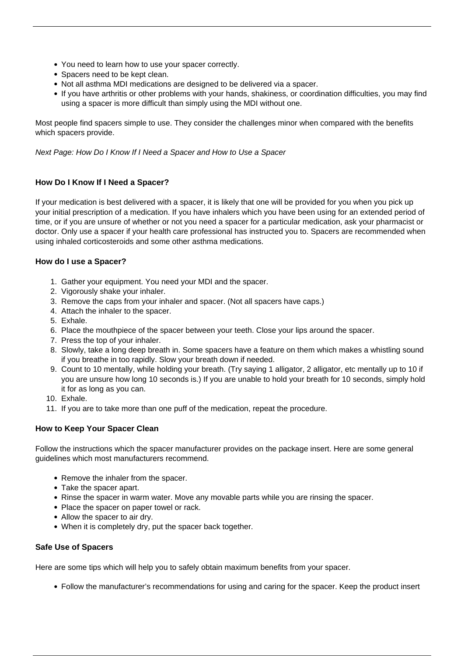- You need to learn how to use your spacer correctly.
- Spacers need to be kept clean.
- Not all asthma MDI medications are designed to be delivered via a spacer.
- If you have arthritis or other problems with your hands, shakiness, or coordination difficulties, you may find using a spacer is more difficult than simply using the MDI without one.

Most people find spacers simple to use. They consider the challenges minor when compared with the benefits which spacers provide.

Next Page: How Do I Know If I Need a Spacer and How to Use a Spacer

## **How Do I Know If I Need a Spacer?**

If your [medication](/parents-guide-to-asthma-medications/) is best delivered with a spacer, it is likely that one will be provided for you when you pick up your initial prescription of a medication. If you have inhalers which you have been using for an extended period of time, or if you are unsure of whether or not you need a spacer for a particular medication, ask your pharmacist or doctor. Only use a spacer if your health care professional has instructed you to. Spacers are recommended when using inhaled corticosteroids and some other asthma medications.

## **How do I use a Spacer?**

- 1. Gather your equipment. You need your MDI and the spacer.
- 2. Vigorously shake your inhaler.
- 3. Remove the caps from your inhaler and spacer. (Not all spacers have caps.)
- 4. Attach the inhaler to the spacer.
- 5. Exhale.
- 6. Place the mouthpiece of the spacer between your teeth. Close your lips around the spacer.
- 7. Press the top of your inhaler.
- 8. Slowly, take a long deep breath in. Some spacers have a feature on them which makes a whistling sound if you breathe in too rapidly. Slow your breath down if needed.
- 9. Count to 10 mentally, while holding your breath. (Try saying 1 alligator, 2 alligator, etc mentally up to 10 if you are unsure how long 10 seconds is.) If you are unable to hold your breath for 10 seconds, simply hold it for as long as you can.
- 10. Exhale.
- 11. If you are to take more than one puff of the medication, repeat the procedure.

#### **How to Keep Your Spacer Clean**

Follow the instructions which the spacer manufacturer provides on the package insert. Here are some general guidelines which most manufacturers recommend.

- Remove the inhaler from the spacer.
- Take the spacer apart.
- Rinse the spacer in warm water. Move any movable parts while you are rinsing the spacer.
- Place the spacer on paper towel or rack.
- Allow the spacer to air dry.
- When it is completely dry, put the spacer back together.

#### **Safe Use of Spacers**

Here are some tips which will help you to safely obtain maximum benefits from your spacer.

Follow the manufacturer's recommendations for using and caring for the spacer. Keep the product insert